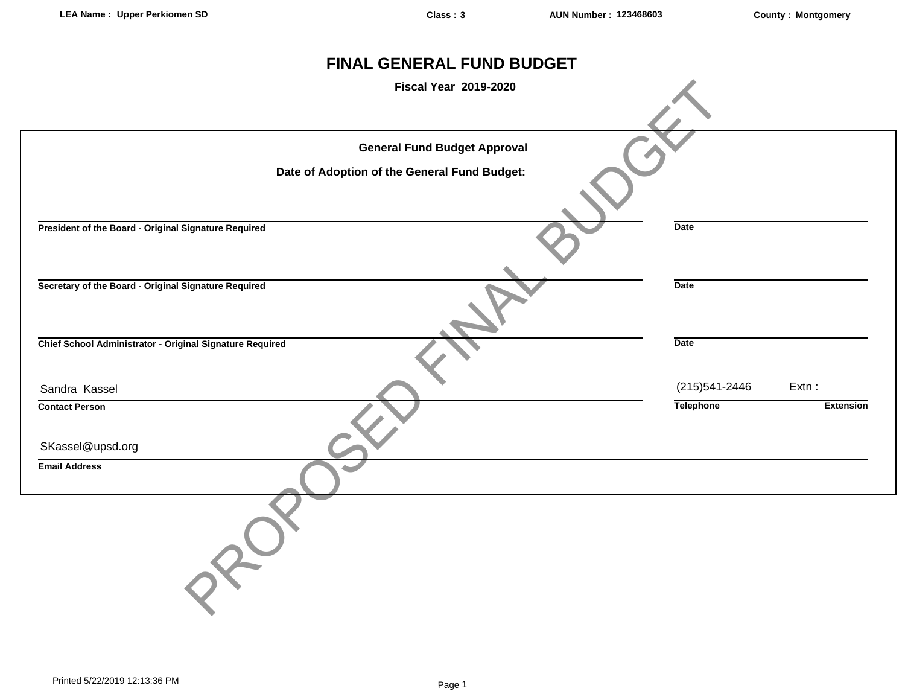# **FINAL GENERAL FUND BUDGET**

| <b>Fiscal Year 2019-2020</b>                                                        |                                    |                              |
|-------------------------------------------------------------------------------------|------------------------------------|------------------------------|
| <b>General Fund Budget Approval</b><br>Date of Adoption of the General Fund Budget: |                                    |                              |
| President of the Board - Original Signature Required                                | Date                               |                              |
| Secretary of the Board - Original Signature Required                                | <b>Date</b>                        |                              |
| Chief School Administrator - Original Signature Required                            | <b>Date</b>                        |                              |
| Sandra Kassel<br><b>Contact Person</b>                                              | (215) 541-2446<br><b>Telephone</b> | $Extn$ :<br><b>Extension</b> |
| SKassel@upsd.org                                                                    |                                    |                              |
| <b>Email Address</b>                                                                |                                    |                              |
|                                                                                     |                                    |                              |
|                                                                                     |                                    |                              |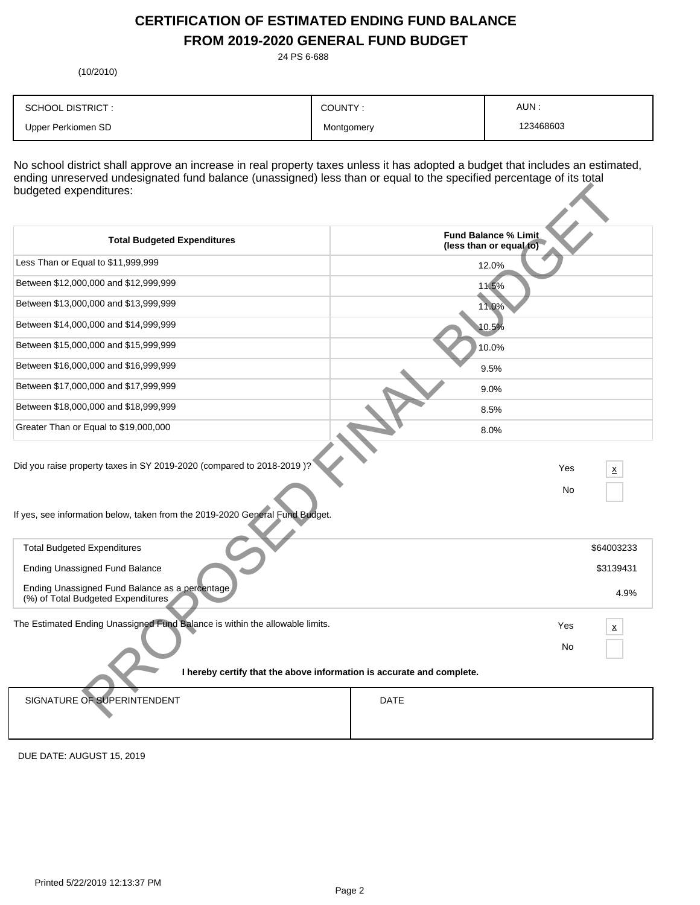# **CERTIFICATION OF ESTIMATED ENDING FUND BALANCE FROM 2019-2020 GENERAL FUND BUDGET**

24 PS 6-688

(10/2010)

| <b>SCHOOL DISTRICT:</b> | COUNTY:    | AUN:      |
|-------------------------|------------|-----------|
| Upper Perkiomen SD      | Montgomery | 123468603 |

No school district shall approve an increase in real property taxes unless it has adopted a budget that includes an estimated, ending unreserved undesignated fund balance (unassigned) less than or equal to the specified percentage of its total budgeted expenditures:

| budgeted expenditures:                                                                                                                                |                                                 |
|-------------------------------------------------------------------------------------------------------------------------------------------------------|-------------------------------------------------|
| <b>Total Budgeted Expenditures</b>                                                                                                                    | Fund Balance % Limit<br>(less than or equal to) |
| Less Than or Equal to \$11,999,999                                                                                                                    | 12.0%                                           |
| Between \$12,000,000 and \$12,999,999                                                                                                                 | 11.5%                                           |
| Between \$13,000,000 and \$13,999,999                                                                                                                 | 11.0%                                           |
| Between \$14,000,000 and \$14,999,999                                                                                                                 | 10.5%                                           |
| Between \$15,000,000 and \$15,999,999                                                                                                                 | 10.0%                                           |
| Between \$16,000,000 and \$16,999,999                                                                                                                 | 9.5%                                            |
| Between \$17,000,000 and \$17,999,999                                                                                                                 | 9.0%                                            |
| Between \$18,000,000 and \$18,999,999                                                                                                                 | 8.5%                                            |
| Greater Than or Equal to \$19,000,000                                                                                                                 | 8.0%                                            |
| Did you raise property taxes in SY 2019-2020 (compared to 2018-2019)?<br>If yes, see information below, taken from the 2019-2020 General Fund Budget. | Yes<br>x<br>No                                  |
| <b>Total Budgeted Expenditures</b>                                                                                                                    | \$64003233                                      |
| <b>Ending Unassigned Fund Balance</b>                                                                                                                 | \$3139431                                       |
| Ending Unassigned Fund Balance as a percentage<br>(%) of Total Budgeted Expenditures                                                                  | 4.9%                                            |
| The Estimated Ending Unassigned Fund Balance is within the allowable limits.                                                                          | Yes<br>x<br>No                                  |
| I hereby certify that the above information is accurate and complete.                                                                                 |                                                 |
| SIGNATURE OF SUPERINTENDENT                                                                                                                           | <b>DATE</b>                                     |

DUE DATE: AUGUST 15, 2019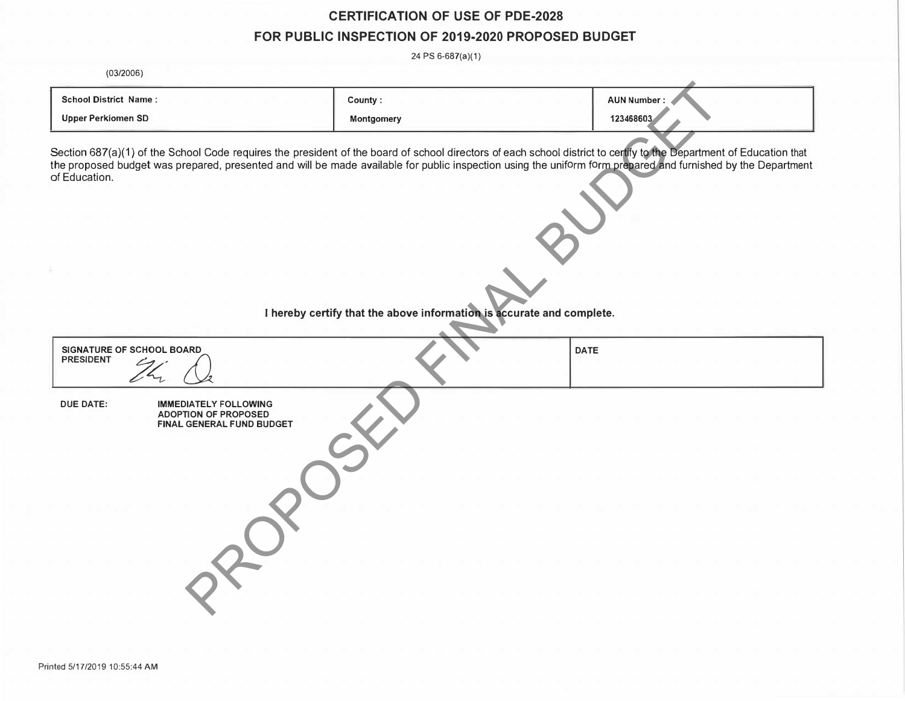# **CERTIFICATION OF USE OF PDE-2028 FOR PUBLIC INSPECTION OF 2019-2020 PROPOSED BUDGET**

24 PS 6-687(a)(1)

(03/2006)

| <b>School District Name:</b> | County            | <b>AUN Number:</b> |
|------------------------------|-------------------|--------------------|
| Upper Perkiomen SD           | <b>Montgomery</b> | 123468603          |

| <b>School District Name:</b><br><b>Upper Perkiomen SD</b>                                                    | County:<br>Montgomery                                                 | <b>AUN Number:</b><br>123468603                                                                                                                                                                                                                                                                                                     |  |
|--------------------------------------------------------------------------------------------------------------|-----------------------------------------------------------------------|-------------------------------------------------------------------------------------------------------------------------------------------------------------------------------------------------------------------------------------------------------------------------------------------------------------------------------------|--|
| of Education.                                                                                                |                                                                       | Section 687(a)(1) of the School Code requires the president of the board of school directors of each school district to certify to the Department of Education that<br>the proposed budget was prepared, presented and will be made available for public inspection using the uniform form prepared and furnished by the Department |  |
|                                                                                                              | I hereby certify that the above information is accurate and complete. |                                                                                                                                                                                                                                                                                                                                     |  |
| <b>SIGNATURE OF SCHOOL BOARD</b><br><b>PRESIDENT</b>                                                         |                                                                       | <b>DATE</b>                                                                                                                                                                                                                                                                                                                         |  |
| <b>DUE DATE:</b><br><b>IMMEDIATELY FOLLOWING</b><br><b>ADOPTION OF PROPOSED</b><br>FINAL GENERAL FUND BUDGET |                                                                       |                                                                                                                                                                                                                                                                                                                                     |  |
|                                                                                                              |                                                                       |                                                                                                                                                                                                                                                                                                                                     |  |
|                                                                                                              |                                                                       |                                                                                                                                                                                                                                                                                                                                     |  |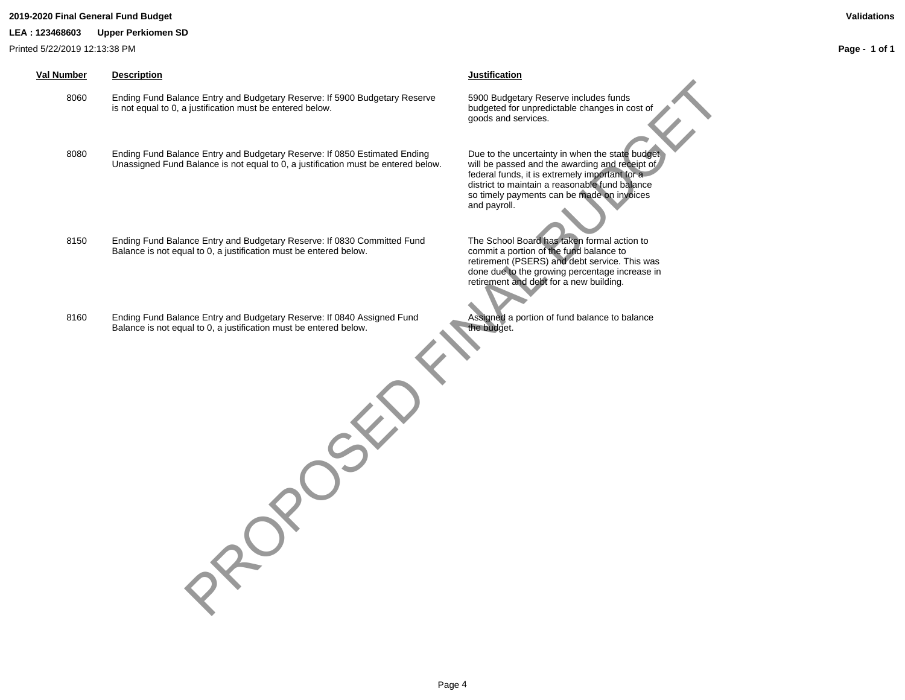### **2019-2020 Final General Fund Budget Validations**

**LEA : 123468603 Upper Perkiomen SD**

Printed 5/22/2019 12:13:38 PM

## **Val Number Description Justification**

8060 Ending Fund Balance Entry and Budgetary Reserve: If 5900 Budgetary Reserve is not equal to 0, a justification must be entered below.

- 8080 Ending Fund Balance Entry and Budgetary Reserve: If 0850 Estimated Ending Unassigned Fund Balance is not equal to 0, a justification must be entered below.
- 8150 Ending Fund Balance Entry and Budgetary Reserve: If 0830 Committed Fund Balance is not equal to 0, a justification must be entered below.
- 8160 Ending Fund Balance Entry and Budgetary Reserve: If 0840 Assigned Fund Balance is not equal to 0, a justification must be entered below.

5900 Budgetary Reserve includes funds budgeted for unpredictable changes in cost of goods and services.

Due to the uncertainty in when the state budget will be passed and the awarding and receipt of federal funds, it is extremely important for a district to maintain a reasonable fund balance so timely payments can be made on invoices and payroll. nce Entry and Budgetary Reserve: If detail advantage reserve to a solution of the server in the server of the server of the server in the server of the server of the server of the server of the server of the server of the

The School Board has taken formal action to commit a portion of the fund balance to retirement (PSERS) and debt service. This was done due to the growing percentage increase in retirement and debt for a new building.

Assigned a portion of fund balance to balance the budget.

Page 4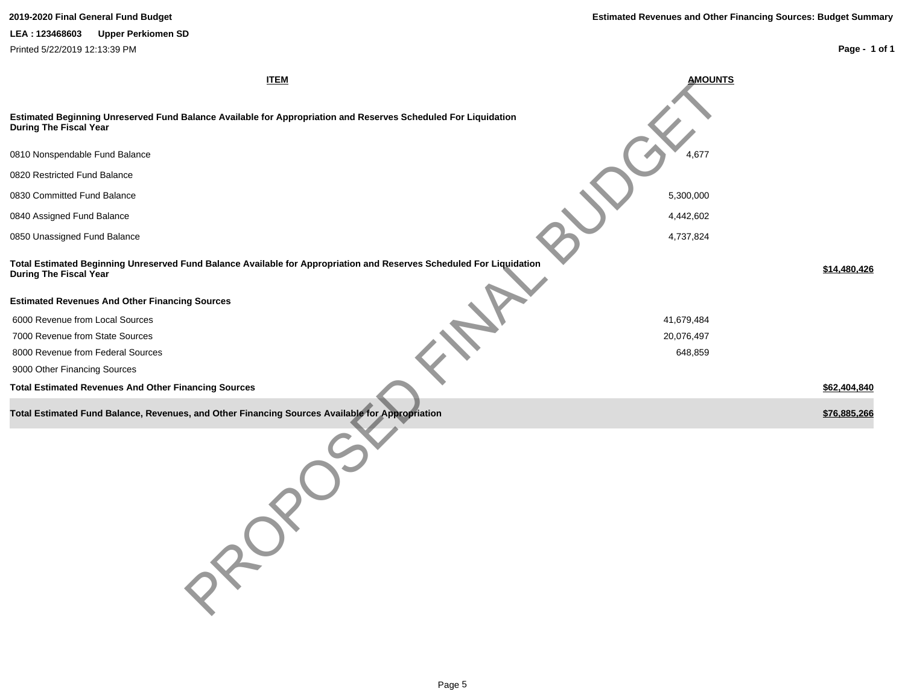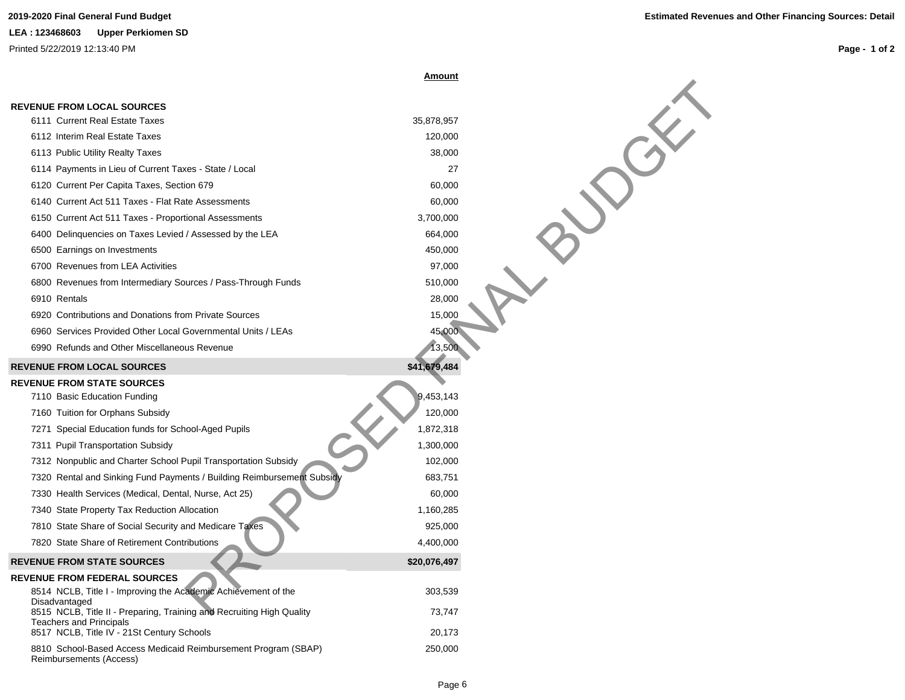|                                                                                 | <u>Amount</u> |  |
|---------------------------------------------------------------------------------|---------------|--|
|                                                                                 |               |  |
| <b>REVENUE FROM LOCAL SOURCES</b><br>6111 Current Real Estate Taxes             | 35,878,957    |  |
| 6112 Interim Real Estate Taxes                                                  | 120,000       |  |
| 6113 Public Utility Realty Taxes                                                | 38,000        |  |
| 6114 Payments in Lieu of Current Taxes - State / Local                          | 27            |  |
| 6120 Current Per Capita Taxes, Section 679                                      | 60,000        |  |
| 6140 Current Act 511 Taxes - Flat Rate Assessments                              | 60,000        |  |
| 6150 Current Act 511 Taxes - Proportional Assessments                           | 3,700,000     |  |
| 6400 Delinquencies on Taxes Levied / Assessed by the LEA                        | 664,000       |  |
| 6500 Earnings on Investments                                                    | 450,000       |  |
| 6700 Revenues from LEA Activities                                               | 97,000        |  |
| 6800 Revenues from Intermediary Sources / Pass-Through Funds                    | 510,000       |  |
| 6910 Rentals                                                                    | 28,000        |  |
| 6920 Contributions and Donations from Private Sources                           | 15,000        |  |
| 6960 Services Provided Other Local Governmental Units / LEAs                    | 45,000        |  |
| 6990 Refunds and Other Miscellaneous Revenue                                    | 13,500        |  |
| <b>REVENUE FROM LOCAL SOURCES</b>                                               | \$41,679,484  |  |
| <b>REVENUE FROM STATE SOURCES</b>                                               |               |  |
| 7110 Basic Education Funding                                                    | 9,453,143     |  |
| 7160 Tuition for Orphans Subsidy                                                | 120,000       |  |
| 7271 Special Education funds for School-Aged Pupils                             | 1,872,318     |  |
| 7311 Pupil Transportation Subsidy                                               | 1,300,000     |  |
| 7312 Nonpublic and Charter School Pupil Transportation Subsidy                  | 102,000       |  |
| 7320 Rental and Sinking Fund Payments / Building Reimbursement Subsidy          | 683,751       |  |
| 7330 Health Services (Medical, Dental, Nurse, Act 25)                           | 60,000        |  |
| 7340 State Property Tax Reduction Allocation                                    | 1,160,285     |  |
| 7810 State Share of Social Security and Medicare Taxes                          | 925,000       |  |
| 7820 State Share of Retirement Contributions                                    | 4,400,000     |  |
| <b>REVENUE FROM STATE SOURCES</b>                                               | \$20,076,497  |  |
| <b>REVENUE FROM FEDERAL SOURCES</b>                                             |               |  |
| 8514 NCLB, Title I - Improving the Academic Achievement of the<br>Disadvantaged | 303,539       |  |
| 8515 NCLB, Title II - Preparing, Training and Recruiting High Quality           | 73,747        |  |
| <b>Teachers and Principals</b><br>8517 NCLB, Title IV - 21St Century Schools    | 20,173        |  |
| 8810 School-Based Access Medicaid Reimbursement Program (SBAP)                  | 250,000       |  |
| Reimbursements (Access)                                                         |               |  |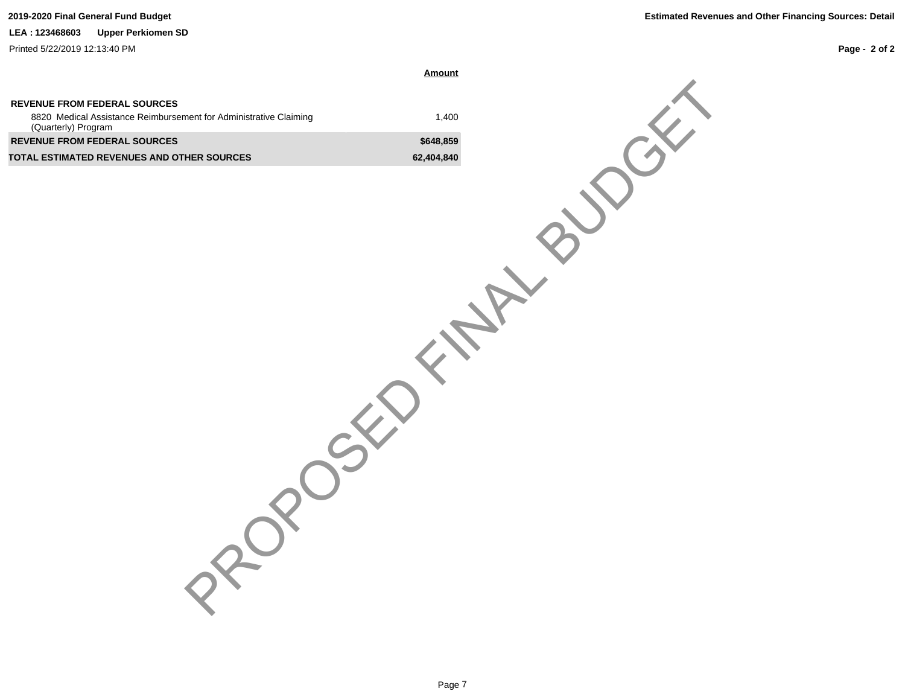### **LEA : 123468603 Upper Perkiomen SD**

Printed 5/22/2019 12:13:40 PM

**Page - 2 of 2**

**Amount**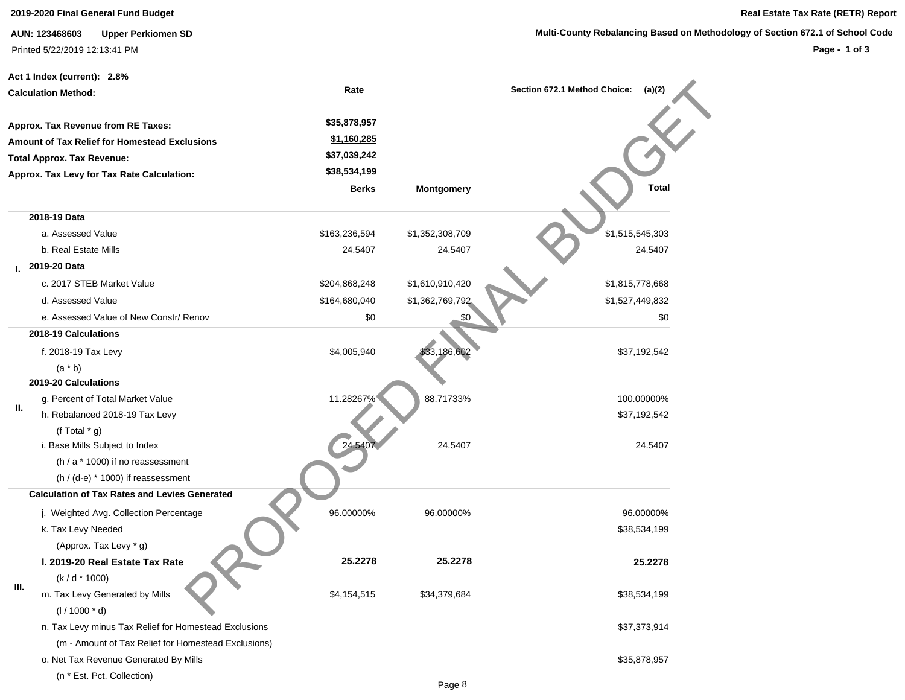**2019-2020 Final General Fund Budget Real Estate Tax Rate (RETR) Report**

**AUN: 123468603 Upper Perkiomen SD** Printed 5/22/2019 12:13:41 PM

### **Multi-County Rebalancing Based on Methodology of Section 672.1 of School Code**

|                            | Act 1 Index (current): 2.8%                           |               |                   |                                        |
|----------------------------|-------------------------------------------------------|---------------|-------------------|----------------------------------------|
| <b>Calculation Method:</b> |                                                       | Rate          |                   | Section 672.1 Method Choice:<br>(a)(2) |
|                            |                                                       |               |                   |                                        |
|                            | Approx. Tax Revenue from RE Taxes:                    | \$35,878,957  |                   |                                        |
|                            | <b>Amount of Tax Relief for Homestead Exclusions</b>  | \$1,160,285   |                   |                                        |
|                            | <b>Total Approx. Tax Revenue:</b>                     | \$37,039,242  |                   |                                        |
|                            | Approx. Tax Levy for Tax Rate Calculation:            | \$38,534,199  |                   |                                        |
|                            |                                                       | <b>Berks</b>  | <b>Montgomery</b> | <b>Total</b>                           |
|                            | 2018-19 Data                                          |               |                   |                                        |
|                            | a. Assessed Value                                     | \$163,236,594 | \$1,352,308,709   | \$1,515,545,303                        |
|                            | b. Real Estate Mills                                  | 24.5407       | 24.5407           | 24.5407                                |
|                            | I. 2019-20 Data                                       |               |                   |                                        |
|                            | c. 2017 STEB Market Value                             | \$204,868,248 | \$1,610,910,420   | \$1,815,778,668                        |
|                            | d. Assessed Value                                     | \$164,680,040 | \$1,362,769,792   | \$1,527,449,832                        |
|                            | e. Assessed Value of New Constr/ Renov                | \$0           | \$0               | \$0                                    |
|                            | 2018-19 Calculations                                  |               |                   |                                        |
|                            | f. 2018-19 Tax Levy                                   | \$4,005,940   | \$33,186,602      | \$37,192,542                           |
|                            | $(a * b)$                                             |               |                   |                                        |
|                            | 2019-20 Calculations                                  |               |                   |                                        |
|                            | g. Percent of Total Market Value                      | 11.28267%     | 88.71733%         | 100.00000%                             |
| Ш.                         | h. Rebalanced 2018-19 Tax Levy                        |               |                   | \$37,192,542                           |
|                            | (f Total $*$ g)                                       |               |                   |                                        |
|                            | i. Base Mills Subject to Index                        | 24.5407       | 24.5407           | 24.5407                                |
|                            | (h / a * 1000) if no reassessment                     |               |                   |                                        |
|                            | $(h / (d-e) * 1000)$ if reassessment                  |               |                   |                                        |
|                            | <b>Calculation of Tax Rates and Levies Generated</b>  |               |                   |                                        |
|                            | j. Weighted Avg. Collection Percentage                | 96.00000%     | 96.00000%         | 96.00000%                              |
|                            | k. Tax Levy Needed                                    |               |                   | \$38,534,199                           |
|                            | (Approx. Tax Levy * g)                                |               |                   |                                        |
|                            | I. 2019-20 Real Estate Tax Rate                       | 25.2278       | 25.2278           | 25.2278                                |
|                            | $(k/d * 1000)$                                        |               |                   |                                        |
| III.                       | m. Tax Levy Generated by Mills                        | \$4,154,515   | \$34,379,684      | \$38,534,199                           |
|                            | $(1/1000 * d)$                                        |               |                   |                                        |
|                            | n. Tax Levy minus Tax Relief for Homestead Exclusions |               |                   | \$37,373,914                           |
|                            | (m - Amount of Tax Relief for Homestead Exclusions)   |               |                   |                                        |
|                            | o. Net Tax Revenue Generated By Mills                 |               |                   | \$35,878,957                           |
|                            | (n * Est. Pct. Collection)                            |               |                   |                                        |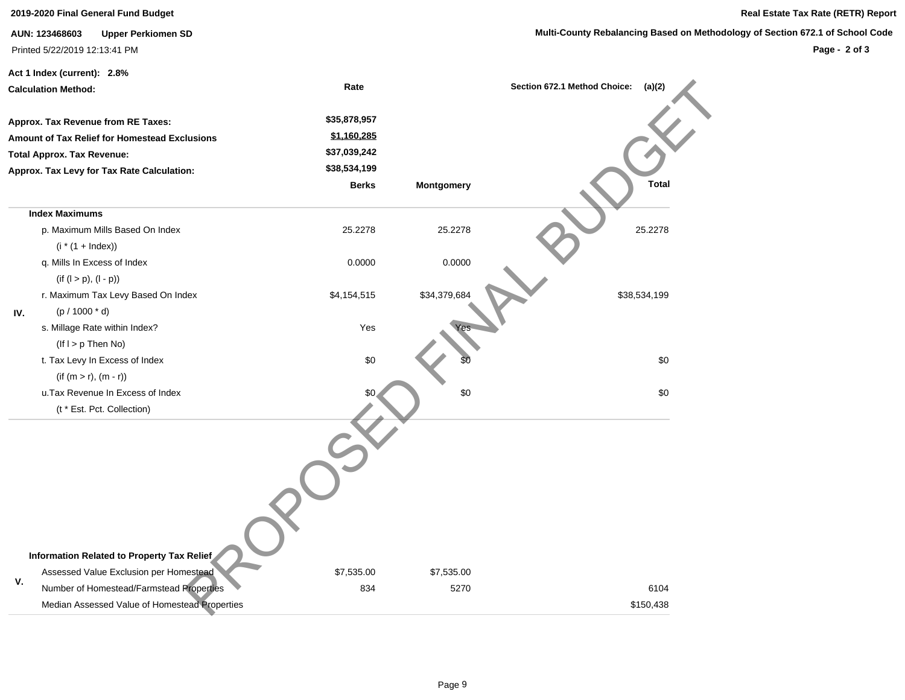**Multi-County Rebalancing Based on Methodology of Section 672.1 of School Code** 

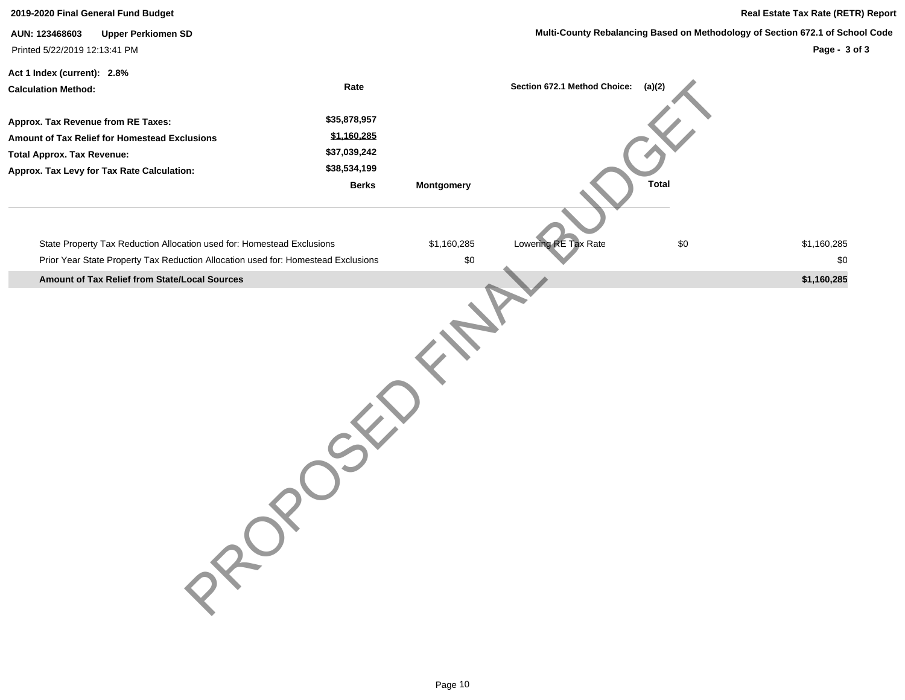| <b>Upper Perkiomen SD</b><br>AUN: 123468603                                       |                                                                                                                                               |             | Multi-County Rebalancing Based on Methodology of Section 672.1 of School Code |                                                 |  |  |
|-----------------------------------------------------------------------------------|-----------------------------------------------------------------------------------------------------------------------------------------------|-------------|-------------------------------------------------------------------------------|-------------------------------------------------|--|--|
|                                                                                   |                                                                                                                                               |             |                                                                               | Page - 3 of 3                                   |  |  |
|                                                                                   |                                                                                                                                               |             |                                                                               |                                                 |  |  |
|                                                                                   |                                                                                                                                               |             |                                                                               |                                                 |  |  |
|                                                                                   |                                                                                                                                               |             |                                                                               |                                                 |  |  |
|                                                                                   |                                                                                                                                               |             |                                                                               |                                                 |  |  |
|                                                                                   |                                                                                                                                               |             |                                                                               |                                                 |  |  |
|                                                                                   |                                                                                                                                               |             |                                                                               |                                                 |  |  |
| <b>Berks</b>                                                                      | Montgomery                                                                                                                                    |             | <b>Total</b>                                                                  |                                                 |  |  |
|                                                                                   |                                                                                                                                               |             |                                                                               |                                                 |  |  |
|                                                                                   |                                                                                                                                               |             |                                                                               | \$1,160,285                                     |  |  |
| Prior Year State Property Tax Reduction Allocation used for: Homestead Exclusions | $\$0$                                                                                                                                         |             |                                                                               | \$0                                             |  |  |
|                                                                                   |                                                                                                                                               |             |                                                                               | \$1,160,285                                     |  |  |
|                                                                                   |                                                                                                                                               |             |                                                                               |                                                 |  |  |
|                                                                                   | Rate<br>\$35,878,957<br>\$1,160,285<br>\$37,039,242<br>\$38,534,199<br>State Property Tax Reduction Allocation used for: Homestead Exclusions | \$1,160,285 | Lowering RE Tax Rate                                                          | Section 672.1 Method Choice:<br>(a)(2)<br>$\$0$ |  |  |

**2019-2020 Final General Fund Budget Real Estate Tax Rate (RETR) Report**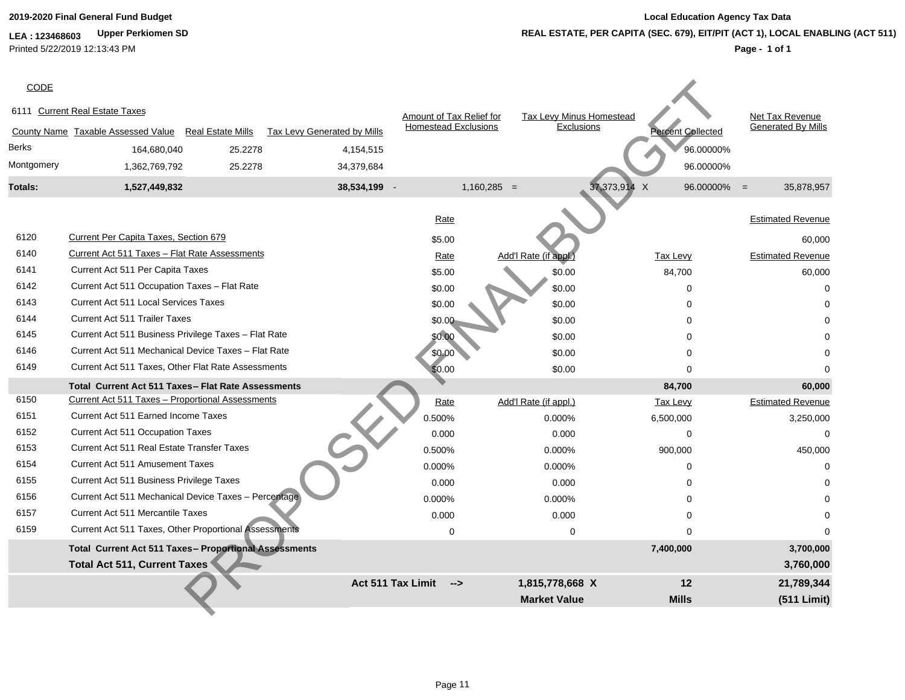**LEA : 123468603 Upper Perkiomen SD** Printed 5/22/2019 12:13:43 PM

| CODE           |                                                       |                          |                             |                   |                             |                                 |                          |                                |
|----------------|-------------------------------------------------------|--------------------------|-----------------------------|-------------------|-----------------------------|---------------------------------|--------------------------|--------------------------------|
|                | 6111 Current Real Estate Taxes                        |                          |                             |                   | Amount of Tax Relief for    | <b>Tax Levy Minus Homestead</b> |                          | Net Tax Revenue                |
|                | County Name Taxable Assessed Value                    | <b>Real Estate Mills</b> | Tax Levy Generated by Mills |                   | <b>Homestead Exclusions</b> | Exclusions                      | <b>Percent Collected</b> | <b>Generated By Mills</b>      |
| Berks          | 164,680,040                                           | 25.2278                  | 4,154,515                   |                   |                             |                                 |                          | 96.00000%                      |
| Montgomery     | 1,362,769,792                                         | 25.2278                  | 34,379,684                  |                   |                             |                                 |                          | 96.00000%                      |
| <b>Totals:</b> | 1,527,449,832                                         |                          | 38,534,199 -                |                   | $1,160,285 =$               |                                 | 37,373,914 X             | 96.00000%<br>35,878,957<br>$=$ |
|                |                                                       |                          |                             |                   |                             |                                 |                          |                                |
|                |                                                       |                          |                             | Rate              |                             |                                 |                          | <b>Estimated Revenue</b>       |
| 6120           | Current Per Capita Taxes, Section 679                 |                          |                             | \$5.00            |                             |                                 |                          | 60,000                         |
| 6140           | Current Act 511 Taxes - Flat Rate Assessments         |                          |                             | Rate              |                             | Add'l Rate (if appl.)           | Tax Levy                 | <b>Estimated Revenue</b>       |
| 6141           | Current Act 511 Per Capita Taxes                      |                          |                             | \$5.00            |                             | \$0.00                          | 84,700                   | 60,000                         |
| 6142           | Current Act 511 Occupation Taxes - Flat Rate          |                          |                             | \$0.00            |                             | \$0.00                          | $\Omega$                 | $\Omega$                       |
| 6143           | <b>Current Act 511 Local Services Taxes</b>           |                          |                             | \$0.00            |                             | \$0.00                          | $\Omega$                 |                                |
| 6144           | Current Act 511 Trailer Taxes                         |                          |                             | \$0.00            |                             | \$0.00                          | $\Omega$                 |                                |
| 6145           | Current Act 511 Business Privilege Taxes - Flat Rate  |                          |                             | \$0.00            |                             | \$0.00                          |                          |                                |
| 6146           | Current Act 511 Mechanical Device Taxes - Flat Rate   |                          |                             | \$0.00            |                             | \$0.00                          |                          |                                |
| 6149           | Current Act 511 Taxes, Other Flat Rate Assessments    |                          |                             | \$0.00            |                             | \$0.00                          | $\Omega$                 |                                |
|                | Total Current Act 511 Taxes - Flat Rate Assessments   |                          |                             |                   |                             |                                 | 84,700                   | 60,000                         |
| 6150           | Current Act 511 Taxes - Proportional Assessments      |                          |                             | Rate              |                             | Add'l Rate (if appl.)           | <b>Tax Levy</b>          | <b>Estimated Revenue</b>       |
| 6151           | <b>Current Act 511 Earned Income Taxes</b>            |                          |                             | 0.500%            |                             | 0.000%                          | 6,500,000                | 3,250,000                      |
| 6152           | <b>Current Act 511 Occupation Taxes</b>               |                          |                             | 0.000             |                             | 0.000                           | $\Omega$                 | $\Omega$                       |
| 6153           | <b>Current Act 511 Real Estate Transfer Taxes</b>     |                          |                             | 0.500%            |                             | 0.000%                          | 900,000                  | 450,000                        |
| 6154           | <b>Current Act 511 Amusement Taxes</b>                |                          |                             | 0.000%            |                             | 0.000%                          | $\Omega$                 | $\Omega$                       |
| 6155           | Current Act 511 Business Privilege Taxes              |                          |                             | 0.000             |                             | 0.000                           | $\Omega$                 |                                |
| 6156           | Current Act 511 Mechanical Device Taxes - Percentage  |                          |                             | 0.000%            |                             | 0.000%                          | $\Omega$                 |                                |
| 6157           | <b>Current Act 511 Mercantile Taxes</b>               |                          |                             | 0.000             |                             | 0.000                           | $\Omega$                 |                                |
| 6159           | Current Act 511 Taxes, Other Proportional Assessments |                          |                             |                   | 0                           | 0                               | $\Omega$                 |                                |
|                | Total Current Act 511 Taxes- Proportional Assessments |                          |                             |                   |                             |                                 | 7,400,000                | 3,700,000                      |
|                | <b>Total Act 511, Current Taxes</b>                   |                          |                             |                   |                             |                                 |                          | 3,760,000                      |
|                |                                                       |                          |                             | Act 511 Tax Limit | $\rightarrow$               | 1,815,778,668 X                 | 12                       | 21,789,344                     |
|                |                                                       |                          |                             |                   |                             | <b>Market Value</b>             | <b>Mills</b>             | (511 Limit)                    |
|                |                                                       |                          |                             |                   |                             |                                 |                          |                                |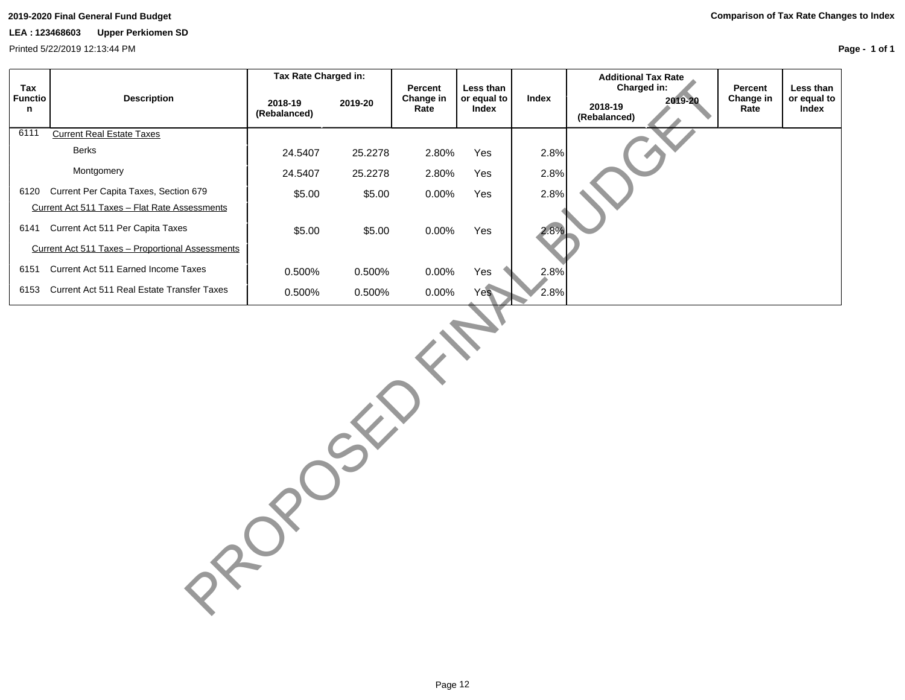Printed 5/22/2019 12:13:44 PM

|                            |                                                  | Tax Rate Charged in:    |         |                              |                                   |       | <b>Additional Tax Rate</b>                        |                              |                                   |
|----------------------------|--------------------------------------------------|-------------------------|---------|------------------------------|-----------------------------------|-------|---------------------------------------------------|------------------------------|-----------------------------------|
| Tax<br><b>Functio</b><br>n | <b>Description</b>                               | 2018-19<br>(Rebalanced) | 2019-20 | Percent<br>Change in<br>Rate | Less than<br>or equal to<br>Index | Index | Charged in:<br>2019-20<br>2018-19<br>(Rebalanced) | Percent<br>Change in<br>Rate | Less than<br>or equal to<br>Index |
| 6111                       | <b>Current Real Estate Taxes</b>                 |                         |         |                              |                                   |       |                                                   |                              |                                   |
|                            | <b>Berks</b>                                     | 24.5407                 | 25.2278 | 2.80%                        | Yes                               | 2.8%  |                                                   |                              |                                   |
|                            | Montgomery                                       | 24.5407                 | 25.2278 | 2.80%                        | Yes                               | 2.8%  |                                                   |                              |                                   |
| 6120                       | Current Per Capita Taxes, Section 679            | \$5.00                  | \$5.00  | 0.00%                        | Yes                               | 2.8%  |                                                   |                              |                                   |
|                            | Current Act 511 Taxes - Flat Rate Assessments    |                         |         |                              |                                   |       |                                                   |                              |                                   |
|                            | 6141 Current Act 511 Per Capita Taxes            | \$5.00                  | \$5.00  | 0.00%                        | Yes                               | 2.8%  |                                                   |                              |                                   |
|                            | Current Act 511 Taxes - Proportional Assessments |                         |         |                              |                                   |       |                                                   |                              |                                   |
| 6151                       | Current Act 511 Earned Income Taxes              | 0.500%                  | 0.500%  | 0.00%                        | Yes                               | 2.8%  |                                                   |                              |                                   |
| 6153                       | Current Act 511 Real Estate Transfer Taxes       | 0.500%                  | 0.500%  | 0.00%                        | Yes                               | 2.8%  |                                                   |                              |                                   |
|                            |                                                  |                         |         |                              |                                   |       |                                                   |                              |                                   |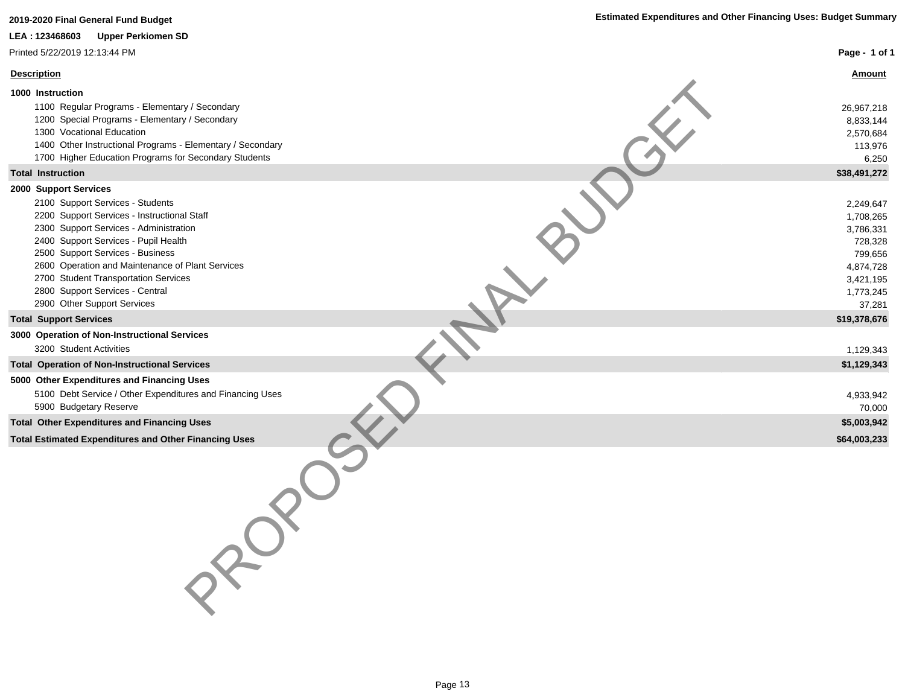| 2019-2020 Final General Fund Budget                                                                                                                                                                                                                                                                                                                                                          | <b>Estimated Expenditures and Other Financing Uses: Budget Summary</b>                                     |
|----------------------------------------------------------------------------------------------------------------------------------------------------------------------------------------------------------------------------------------------------------------------------------------------------------------------------------------------------------------------------------------------|------------------------------------------------------------------------------------------------------------|
| LEA: 123468603<br><b>Upper Perkiomen SD</b>                                                                                                                                                                                                                                                                                                                                                  |                                                                                                            |
| Printed 5/22/2019 12:13:44 PM                                                                                                                                                                                                                                                                                                                                                                | Page - 1 of 1                                                                                              |
| <b>Description</b>                                                                                                                                                                                                                                                                                                                                                                           | <b>Amount</b>                                                                                              |
| 1000 Instruction                                                                                                                                                                                                                                                                                                                                                                             |                                                                                                            |
| 1100 Regular Programs - Elementary / Secondary<br>1200 Special Programs - Elementary / Secondary<br>1300 Vocational Education<br>1400 Other Instructional Programs - Elementary / Secondary<br>1700 Higher Education Programs for Secondary Students                                                                                                                                         | 26,967,218<br>8,833,144<br>2,570,684<br>113,976<br>6,250                                                   |
| <b>Total Instruction</b>                                                                                                                                                                                                                                                                                                                                                                     | \$38,491,272                                                                                               |
| 2000 Support Services<br>2100 Support Services - Students<br>2200 Support Services - Instructional Staff<br>2300 Support Services - Administration<br>2400 Support Services - Pupil Health<br>2500 Support Services - Business<br>2600 Operation and Maintenance of Plant Services<br>2700 Student Transportation Services<br>2800 Support Services - Central<br>2900 Other Support Services | 2,249,647<br>1,708,265<br>3,786,331<br>728,328<br>799,656<br>4,874,728<br>3,421,195<br>1,773,245<br>37,281 |
| <b>Total Support Services</b>                                                                                                                                                                                                                                                                                                                                                                | \$19,378,676                                                                                               |
| 3000 Operation of Non-Instructional Services                                                                                                                                                                                                                                                                                                                                                 |                                                                                                            |
| 3200 Student Activities                                                                                                                                                                                                                                                                                                                                                                      | 1,129,343                                                                                                  |
| <b>Total Operation of Non-Instructional Services</b>                                                                                                                                                                                                                                                                                                                                         | \$1,129,343                                                                                                |
| 5000 Other Expenditures and Financing Uses<br>5100 Debt Service / Other Expenditures and Financing Uses<br>5900 Budgetary Reserve                                                                                                                                                                                                                                                            | 4,933,942<br>70,000                                                                                        |
| <b>Total Other Expenditures and Financing Uses</b>                                                                                                                                                                                                                                                                                                                                           | \$5,003,942                                                                                                |
| <b>Total Estimated Expenditures and Other Financing Uses</b>                                                                                                                                                                                                                                                                                                                                 | \$64,003,233                                                                                               |
| PROT                                                                                                                                                                                                                                                                                                                                                                                         |                                                                                                            |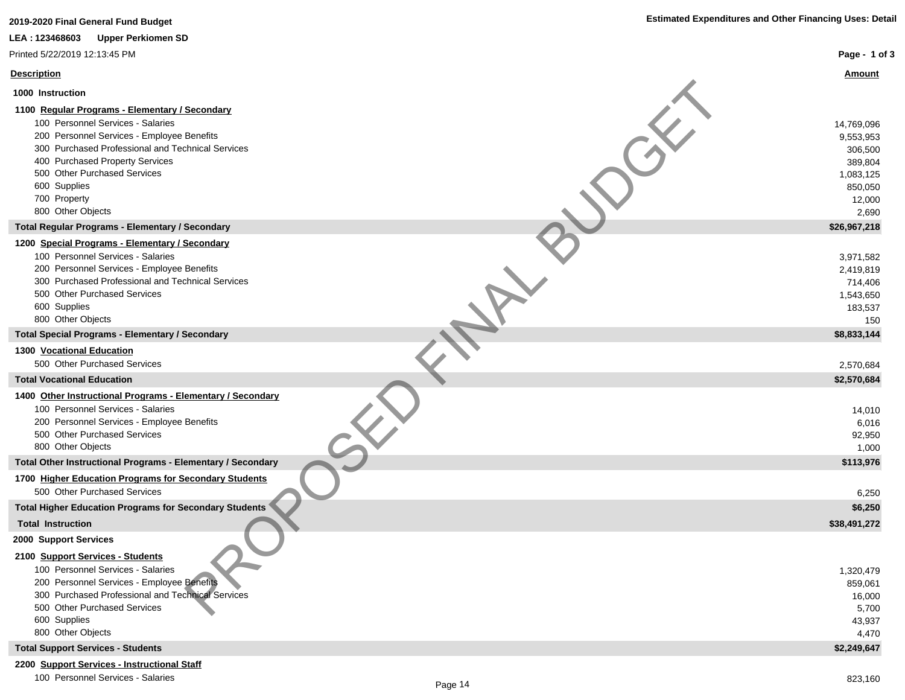| 2019-2020 Final General Fund Budget                                                             | <b>Estimated Expenditures and Other Financing Uses: Detail</b> |
|-------------------------------------------------------------------------------------------------|----------------------------------------------------------------|
| LEA: 123468603<br><b>Upper Perkiomen SD</b>                                                     |                                                                |
| Printed 5/22/2019 12:13:45 PM                                                                   | Page - 1 of 3                                                  |
| <b>Description</b>                                                                              | <u>Amount</u>                                                  |
| 1000 Instruction                                                                                |                                                                |
| 1100 Regular Programs - Elementary / Secondary                                                  |                                                                |
| 100 Personnel Services - Salaries                                                               | 14,769,096                                                     |
| 200 Personnel Services - Employee Benefits                                                      | 9,553,953                                                      |
| 300 Purchased Professional and Technical Services                                               | 306,500                                                        |
| 400 Purchased Property Services                                                                 | 389,804                                                        |
| 500 Other Purchased Services                                                                    | 1,083,125                                                      |
| 600 Supplies                                                                                    | 850,050                                                        |
| 700 Property                                                                                    | 12,000                                                         |
| 800 Other Objects                                                                               | 2,690                                                          |
| <b>Total Regular Programs - Elementary / Secondary</b>                                          | \$26,967,218                                                   |
| 1200 Special Programs - Elementary / Secondary                                                  |                                                                |
| 100 Personnel Services - Salaries                                                               | 3,971,582                                                      |
| 200 Personnel Services - Employee Benefits<br>300 Purchased Professional and Technical Services | 2,419,819                                                      |
| 500 Other Purchased Services                                                                    | 714,406                                                        |
| 600 Supplies                                                                                    | 1,543,650<br>183,537                                           |
| 800 Other Objects                                                                               | 150                                                            |
| <b>Total Special Programs - Elementary / Secondary</b>                                          | \$8,833,144                                                    |
| 1300 Vocational Education                                                                       |                                                                |
| 500 Other Purchased Services                                                                    | 2,570,684                                                      |
| <b>Total Vocational Education</b>                                                               | \$2,570,684                                                    |
| 1400 Other Instructional Programs - Elementary / Secondary                                      |                                                                |
| 100 Personnel Services - Salaries                                                               | 14,010                                                         |
| 200 Personnel Services - Employee Benefits                                                      | 6,016                                                          |
| 500 Other Purchased Services                                                                    | 92,950                                                         |
| 800 Other Objects                                                                               | 1,000                                                          |
| Total Other Instructional Programs - Elementary / Secondary                                     | \$113,976                                                      |
| 1700 Higher Education Programs for Secondary Students                                           |                                                                |
| 500 Other Purchased Services<br><b>Total Higher Education Programs for Secondary Students</b>   | 6,250                                                          |
|                                                                                                 | \$6,250                                                        |
| <b>Total Instruction</b>                                                                        | \$38,491,272                                                   |
| 2000 Support Services                                                                           |                                                                |
| 2100 Support Services - Students                                                                |                                                                |
| 100 Personnel Services - Salaries                                                               | 1,320,479                                                      |
| 200 Personnel Services - Employee Benefits                                                      | 859,061                                                        |
| 300 Purchased Professional and Technical Services<br>500 Other Purchased Services               | 16,000                                                         |
| 600 Supplies                                                                                    | 5,700                                                          |
| 800 Other Objects                                                                               | 43,937<br>4,470                                                |
| <b>Total Support Services - Students</b>                                                        | \$2,249,647                                                    |
| $100 - 11$                                                                                      |                                                                |

**2200 Support Services - Instructional Staff** 100 Personnel Services - Salaries 823,160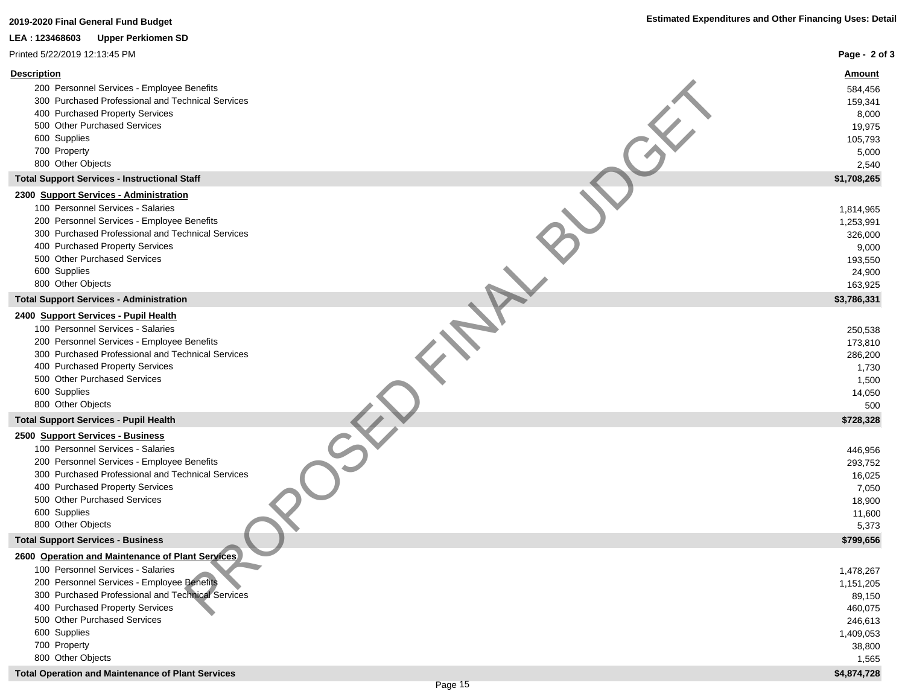| 2019-2020 Final General Fund Budget                                                                                                                                                                                                                                                    | <b>Estimated Expenditures and Other Financing Uses: Detail</b>                      |
|----------------------------------------------------------------------------------------------------------------------------------------------------------------------------------------------------------------------------------------------------------------------------------------|-------------------------------------------------------------------------------------|
| LEA: 123468603<br><b>Upper Perkiomen SD</b>                                                                                                                                                                                                                                            |                                                                                     |
| Printed 5/22/2019 12:13:45 PM                                                                                                                                                                                                                                                          | Page - 2 of 3                                                                       |
| <b>Description</b><br>200 Personnel Services - Employee Benefits<br>300 Purchased Professional and Technical Services<br>400 Purchased Property Services<br>500 Other Purchased Services<br>600 Supplies<br>700 Property<br>800 Other Objects                                          | <u>Amount</u><br>584,456<br>159,341<br>8,000<br>19,975<br>105,793<br>5,000<br>2,540 |
| <b>Total Support Services - Instructional Staff</b>                                                                                                                                                                                                                                    | \$1,708,265                                                                         |
| 2300 Support Services - Administration<br>100 Personnel Services - Salaries<br>200 Personnel Services - Employee Benefits<br>300 Purchased Professional and Technical Services<br>400 Purchased Property Services<br>500 Other Purchased Services<br>600 Supplies<br>800 Other Objects | 1,814,965<br>1,253,991<br>326,000<br>9,000<br>193,550<br>24,900                     |
| <b>Total Support Services - Administration</b>                                                                                                                                                                                                                                         | 163,925<br>\$3,786,331                                                              |
| 2400 Support Services - Pupil Health<br>100 Personnel Services - Salaries<br>200 Personnel Services - Employee Benefits<br>300 Purchased Professional and Technical Services<br>400 Purchased Property Services<br>500 Other Purchased Services<br>600 Supplies<br>800 Other Objects   | 250,538<br>173,810<br>286,200<br>1,730<br>1,500<br>14,050<br>500                    |
| <b>Total Support Services - Pupil Health</b>                                                                                                                                                                                                                                           | \$728,328                                                                           |
| 2500 Support Services - Business<br>100 Personnel Services - Salaries<br>200 Personnel Services - Employee Benefits<br>300 Purchased Professional and Technical Services<br>400 Purchased Property Services<br>500 Other Purchased Services<br>600 Supplies<br>800 Other Objects       | 446,956<br>293,752<br>16,025<br>7,050<br>18,900<br>11,600<br>5,373                  |
| <b>Total Support Services - Business</b>                                                                                                                                                                                                                                               | \$799,656                                                                           |
| 2600 Operation and Maintenance of Plant Services                                                                                                                                                                                                                                       |                                                                                     |
| 100 Personnel Services - Salaries<br>200 Personnel Services - Employee Benefits<br>300 Purchased Professional and Technical Services<br>400 Purchased Property Services<br>500 Other Purchased Services<br>600 Supplies                                                                | 1,478,267<br>1,151,205<br>89,150<br>460,075<br>246,613<br>1,409,053                 |
| 700 Property<br>800 Other Objects                                                                                                                                                                                                                                                      | 38,800<br>1,565                                                                     |

**Total Operation and Maintenance of Plant Services \$4,874,728**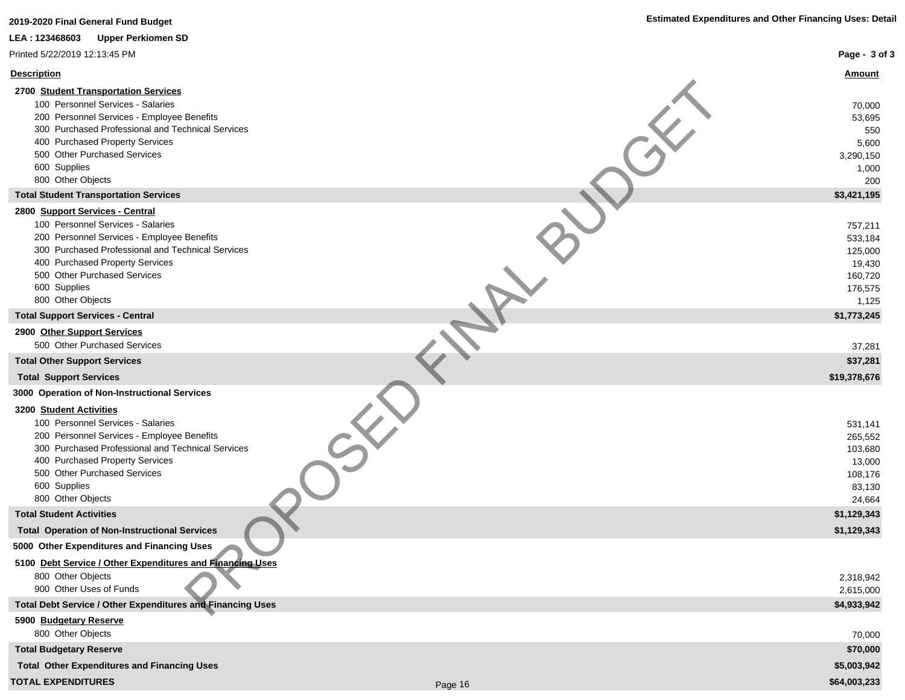| 2019-2020 Final General Fund Budget                                                                                                                                                                                                                                                  | <b>Estimated Expenditures and Other Financing Uses: Detail</b>         |
|--------------------------------------------------------------------------------------------------------------------------------------------------------------------------------------------------------------------------------------------------------------------------------------|------------------------------------------------------------------------|
| LEA: 123468603<br><b>Upper Perkiomen SD</b>                                                                                                                                                                                                                                          |                                                                        |
| Printed 5/22/2019 12:13:45 PM                                                                                                                                                                                                                                                        | Page - 3 of 3                                                          |
| <b>Description</b>                                                                                                                                                                                                                                                                   | <u>Amount</u>                                                          |
| 2700 Student Transportation Services<br>100 Personnel Services - Salaries<br>200 Personnel Services - Employee Benefits<br>300 Purchased Professional and Technical Services<br>400 Purchased Property Services<br>500 Other Purchased Services<br>600 Supplies<br>800 Other Objects | 70,000<br>53,695<br>550<br>5,600<br>3,290,150<br>1,000<br>200          |
| <b>Total Student Transportation Services</b>                                                                                                                                                                                                                                         | \$3,421,195                                                            |
| 2800 Support Services - Central<br>100 Personnel Services - Salaries<br>200 Personnel Services - Employee Benefits<br>300 Purchased Professional and Technical Services<br>400 Purchased Property Services<br>500 Other Purchased Services<br>600 Supplies<br>800 Other Objects      | 757,211<br>533,184<br>125,000<br>19,430<br>160,720<br>176,575<br>1,125 |
| <b>Total Support Services - Central</b>                                                                                                                                                                                                                                              | \$1,773,245                                                            |
| 2900 Other Support Services                                                                                                                                                                                                                                                          |                                                                        |
| 500 Other Purchased Services                                                                                                                                                                                                                                                         | 37,281                                                                 |
| <b>Total Other Support Services</b>                                                                                                                                                                                                                                                  | \$37,281                                                               |
| <b>Total Support Services</b>                                                                                                                                                                                                                                                        | \$19,378,676                                                           |
| 3000 Operation of Non-Instructional Services                                                                                                                                                                                                                                         |                                                                        |
| 3200 Student Activities<br>100 Personnel Services - Salaries<br>200 Personnel Services - Employee Benefits<br>300 Purchased Professional and Technical Services<br>400 Purchased Property Services<br>500 Other Purchased Services<br>600 Supplies<br>800 Other Objects              | 531,141<br>265,552<br>103,680<br>13,000<br>108,176<br>83,130<br>24,664 |
| <b>Total Student Activities</b>                                                                                                                                                                                                                                                      | \$1,129,343                                                            |
| <b>Total Operation of Non-Instructional Services</b>                                                                                                                                                                                                                                 | \$1,129,343                                                            |
| 5000 Other Expenditures and Financing Uses                                                                                                                                                                                                                                           |                                                                        |
| 5100 Debt Service / Other Expenditures and Financing Uses<br>800 Other Objects<br>900 Other Uses of Funds                                                                                                                                                                            | 2,318,942<br>2,615,000                                                 |
| <b>Total Debt Service / Other Expenditures and Financing Uses</b>                                                                                                                                                                                                                    | \$4,933,942                                                            |
| 5900 Budgetary Reserve<br>800 Other Objects                                                                                                                                                                                                                                          | 70,000                                                                 |
| <b>Total Budgetary Reserve</b>                                                                                                                                                                                                                                                       | \$70,000                                                               |
| <b>Total Other Expenditures and Financing Uses</b>                                                                                                                                                                                                                                   | \$5,003,942                                                            |

### **TOTAL EXPENDITURES** \$64,003,233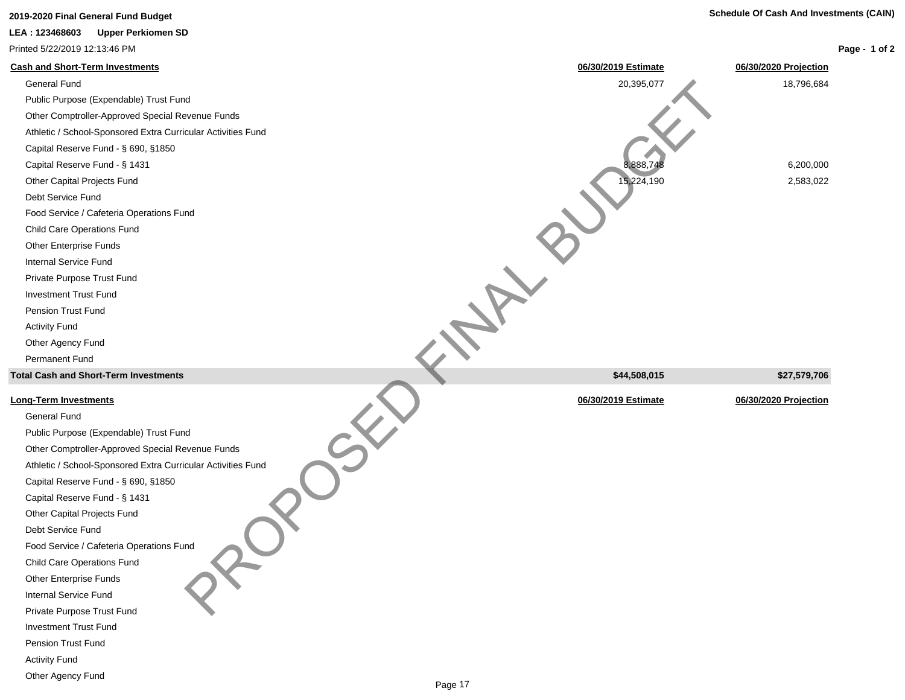# **Cash and Short-Term Investments 06/30/2019 Estimate 06/30/2020 Projection** General Fund 20,395,077 18,796,684 Public Purpose (Expendable) Trust Fund Other Comptroller-Approved Special Revenue Funds Athletic / School-Sponsored Extra Curricular Activities Fund Capital Reserve Fund - § 690, §1850 Capital Reserve Fund - § 1431 6,200,000 6,200,000 6,200,000 6,200,000 6,200,000 6,200,000 6,200,000 6,200,000 6,200,000 6,200,000 6,200,000 6,200,000 6,200,000 6,200,000 6,200,000 6,200,000 6,200,000 6,200,000 6,200,000 6, Other Capital Projects Fund 2,583,022 Debt Service Fund Food Service / Cafeteria Operations Fund Child Care Operations Fund Other Enterprise Funds Internal Service Fund Private Purpose Trust Fund Investment Trust Fund Pension Trust Fund Activity Fund Other Agency Fund Permanent Fund **Total Cash and Short-Term Investments \$44,508,015 \$27,579,706 Long-Term Investments 06/30/2019 Estimate 06/30/2020 Projection** General Fund Public Purpose (Expendable) Trust Fund Other Comptroller-Approved Special Revenue Funds Athletic / School-Sponsored Extra Curricular Activities Fund Capital Reserve Fund - § 690, §1850 Capital Reserve Fund - § 1431 Other Capital Projects Fund Debt Service Fund Food Service / Cafeteria Operations Fund Child Care Operations Fund **2019-2020 Final General Fund Budget Schedule Of Cash And Investments (CAIN) Page - 1 of 2 LEA : 123468603 Upper Perkiomen SD** Printed 5/22/2019 12:13:46 PM PROPOSED FINAL BUDGET

Other Enterprise Funds Internal Service Fund

Private Purpose Trust Fund

Investment Trust Fund

Pension Trust Fund

Activity Fund

Other Agency Fund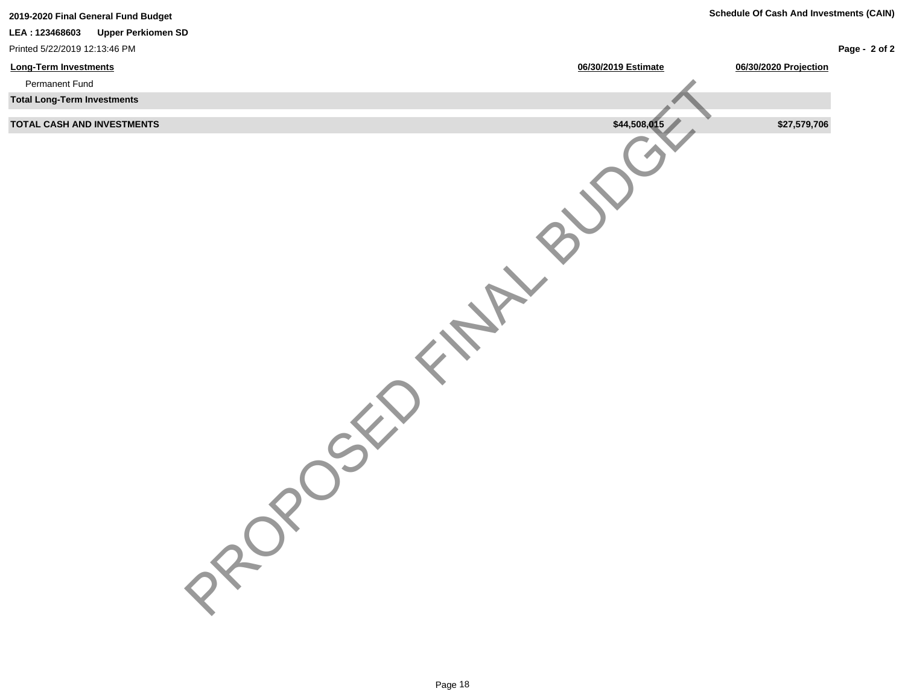| 2019-2020 Final General Fund Budget         |                     | <b>Schedule Of Cash And Investments (CAIN)</b> |               |
|---------------------------------------------|---------------------|------------------------------------------------|---------------|
| <b>Upper Perkiomen SD</b><br>LEA: 123468603 |                     |                                                |               |
| Printed 5/22/2019 12:13:46 PM               |                     |                                                | Page - 2 of 2 |
| <b>Long-Term Investments</b>                | 06/30/2019 Estimate | 06/30/2020 Projection                          |               |
| Permanent Fund                              |                     |                                                |               |
| <b>Total Long-Term Investments</b>          |                     |                                                |               |
| TOTAL CASH AND INVESTMENTS                  | \$44,508,015        | \$27,579,706                                   |               |
| PROV                                        |                     |                                                |               |
|                                             |                     |                                                |               |
|                                             |                     |                                                |               |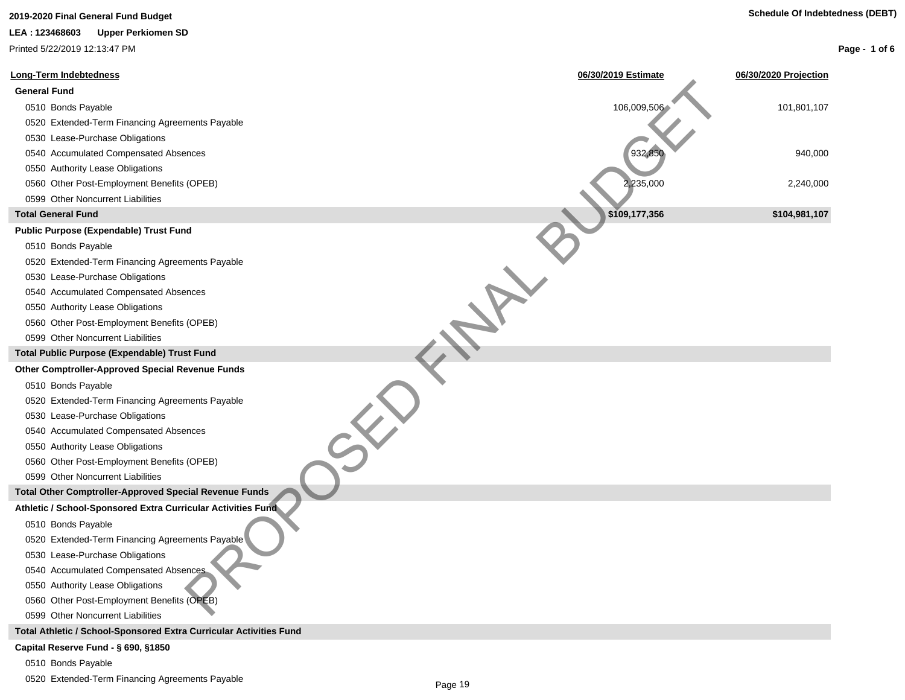# **2019-2020 Final General Fund Budget Schedule Of Indebtedness (DEBT)**

### **LEA : 123468603 Upper Perkiomen SD**

Printed 5/22/2019 12:13:47 PM

| <b>Long-Term Indebtedness</b>                                      | 06/30/2019 Estimate | 06/30/2020 Projection |
|--------------------------------------------------------------------|---------------------|-----------------------|
| <b>General Fund</b>                                                |                     |                       |
| 0510 Bonds Payable                                                 | 106,009,506         | 101,801,107           |
| 0520 Extended-Term Financing Agreements Payable                    |                     |                       |
| 0530 Lease-Purchase Obligations                                    |                     |                       |
| 0540 Accumulated Compensated Absences                              | 932,850             | 940,000               |
| 0550 Authority Lease Obligations                                   |                     |                       |
| 0560 Other Post-Employment Benefits (OPEB)                         | 2,235,000           | 2,240,000             |
| 0599 Other Noncurrent Liabilities                                  |                     |                       |
| <b>Total General Fund</b>                                          | \$109,177,356       | \$104,981,107         |
| <b>Public Purpose (Expendable) Trust Fund</b>                      |                     |                       |
| 0510 Bonds Payable                                                 |                     |                       |
| 0520 Extended-Term Financing Agreements Payable                    |                     |                       |
| 0530 Lease-Purchase Obligations                                    |                     |                       |
| 0540 Accumulated Compensated Absences                              |                     |                       |
| 0550 Authority Lease Obligations                                   |                     |                       |
| 0560 Other Post-Employment Benefits (OPEB)                         |                     |                       |
| 0599 Other Noncurrent Liabilities                                  |                     |                       |
| Total Public Purpose (Expendable) Trust Fund                       |                     |                       |
| <b>Other Comptroller-Approved Special Revenue Funds</b>            |                     |                       |
| 0510 Bonds Payable                                                 |                     |                       |
| 0520 Extended-Term Financing Agreements Payable                    |                     |                       |
| 0530 Lease-Purchase Obligations                                    |                     |                       |
| 0540 Accumulated Compensated Absences                              |                     |                       |
| 0550 Authority Lease Obligations                                   |                     |                       |
| 0560 Other Post-Employment Benefits (OPEB)                         |                     |                       |
| 0599 Other Noncurrent Liabilities                                  |                     |                       |
| Total Other Comptroller-Approved Special Revenue Funds             |                     |                       |
| Athletic / School-Sponsored Extra Curricular Activities Fund       |                     |                       |
| 0510 Bonds Payable                                                 |                     |                       |
| 0520 Extended-Term Financing Agreements Payable                    |                     |                       |
| 0530 Lease-Purchase Obligations                                    |                     |                       |
| 0540 Accumulated Compensated Absences                              |                     |                       |
| 0550 Authority Lease Obligations                                   |                     |                       |
| 0560 Other Post-Employment Benefits (OPEB)                         |                     |                       |
| 0599 Other Noncurrent Liabilities                                  |                     |                       |
| Total Athletic / School-Sponsored Extra Curricular Activities Fund |                     |                       |
| Capital Reserve Fund - § 690, §1850                                |                     |                       |
| 0510 Bonds Payable                                                 |                     |                       |

0520 Extended-Term Financing Agreements Payable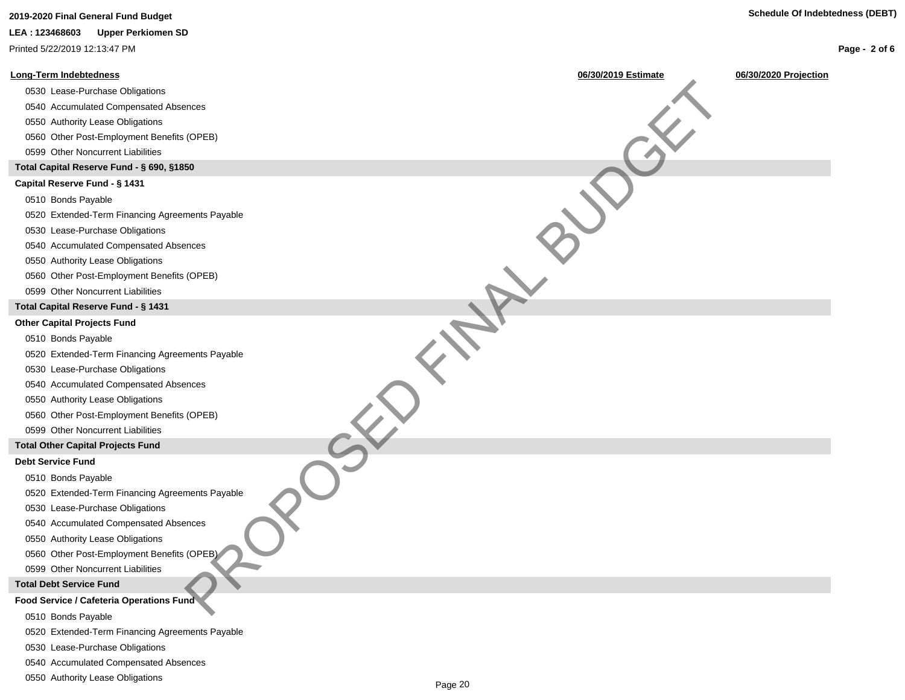### **Page - 2 of 6**

# **2019-2020 Final General Fund Budget Schedule Of Indebtedness (DEBT) LEA : 123468603 Upper Perkiomen SD** Printed 5/22/2019 12:13:47 PM

| <b>Long-Term Indebtedness</b>                   | 06/30/2019 Estimate | 06/30/2020 Projection |
|-------------------------------------------------|---------------------|-----------------------|
| 0530 Lease-Purchase Obligations                 |                     |                       |
| 0540 Accumulated Compensated Absences           |                     |                       |
| 0550 Authority Lease Obligations                |                     |                       |
| 0560 Other Post-Employment Benefits (OPEB)      |                     |                       |
| 0599 Other Noncurrent Liabilities               |                     |                       |
| Total Capital Reserve Fund - § 690, §1850       |                     |                       |
| Capital Reserve Fund - § 1431                   |                     |                       |
| 0510 Bonds Payable                              |                     |                       |
| 0520 Extended-Term Financing Agreements Payable |                     |                       |
| 0530 Lease-Purchase Obligations                 |                     |                       |
| 0540 Accumulated Compensated Absences           |                     |                       |
| 0550 Authority Lease Obligations                |                     |                       |
| 0560 Other Post-Employment Benefits (OPEB)      |                     |                       |
| 0599 Other Noncurrent Liabilities               |                     |                       |
| Total Capital Reserve Fund - § 1431             |                     |                       |
| <b>Other Capital Projects Fund</b>              |                     |                       |
| 0510 Bonds Payable                              |                     |                       |
| 0520 Extended-Term Financing Agreements Payable |                     |                       |
| 0530 Lease-Purchase Obligations                 |                     |                       |
| 0540 Accumulated Compensated Absences           |                     |                       |
| 0550 Authority Lease Obligations                |                     |                       |
| 0560 Other Post-Employment Benefits (OPEB)      |                     |                       |
| 0599 Other Noncurrent Liabilities               |                     |                       |
| <b>Total Other Capital Projects Fund</b>        |                     |                       |
| <b>Debt Service Fund</b>                        |                     |                       |
| 0510 Bonds Payable                              |                     |                       |
| 0520 Extended-Term Financing Agreements Payable |                     |                       |
| 0530 Lease-Purchase Obligations                 |                     |                       |
| 0540 Accumulated Compensated Absences           |                     |                       |
| 0550 Authority Lease Obligations                |                     |                       |
| 0560 Other Post-Employment Benefits (OPEB)      |                     |                       |
| 0599 Other Noncurrent Liabilities               |                     |                       |
| <b>Total Debt Service Fund</b>                  |                     |                       |
| Food Service / Cafeteria Operations Fund        |                     |                       |
| $O(A \cap B)$ and $O(A \cap B)$                 |                     |                       |

- 0510 Bonds Payable
- 0520 Extended-Term Financing Agreements Payable
- 0530 Lease-Purchase Obligations
- 0540 Accumulated Compensated Absences
- 0550 Authority Lease Obligations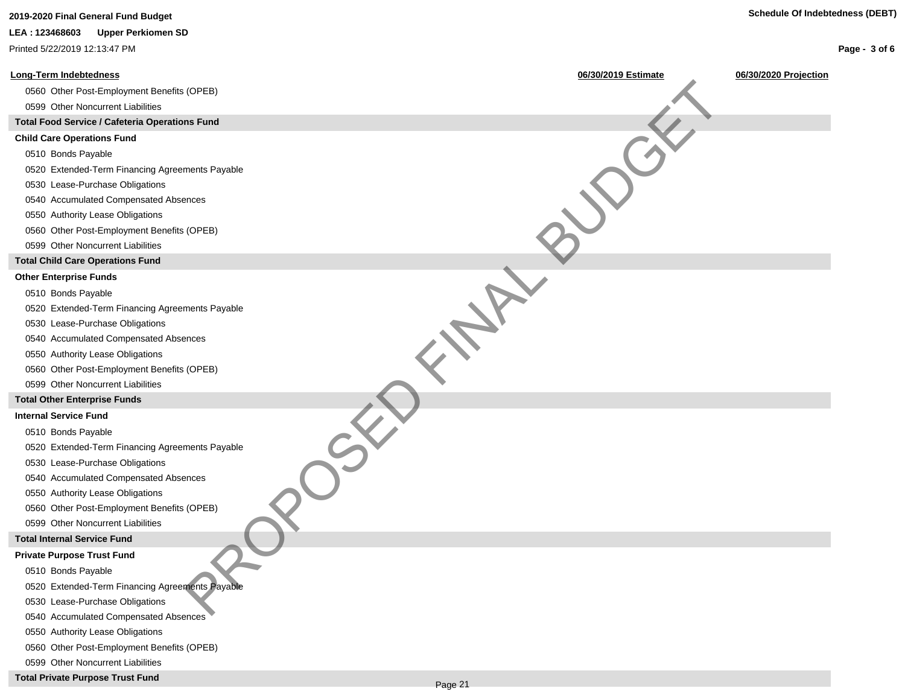## **2019-2020 Final General Fund Budget Schedule Of Indebtedness (DEBT)**

### **LEA : 123468603 Upper Perkiomen SD**

Printed 5/22/2019 12:13:47 PM



**Total Private Purpose Trust Fund**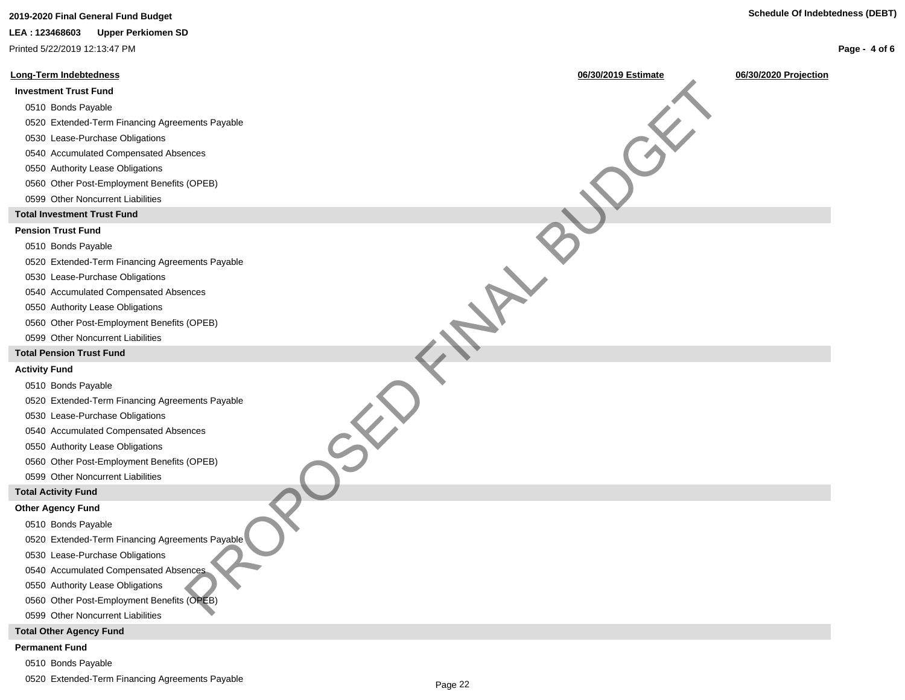## **2019-2020 Final General Fund Budget Schedule Of Indebtedness (DEBT)**

#### **LEA : 123468603 Upper Perkiomen SD**

Printed 5/22/2019 12:13:47 PM

#### **Long-Term Indebtedness 06/30/2019 Estimate 06/30/2020 Projection**

### **Investment Trust Fund**

### 0510 Bonds Payable

- 0520 Extended-Term Financing Agreements Payable
- 0530 Lease-Purchase Obligations
- 0540 Accumulated Compensated Absences
- 0550 Authority Lease Obligations
- 0560 Other Post-Employment Benefits (OPEB)
- 0599 Other Noncurrent Liabilities

### **Total Investment Trust Fund**

### **Pension Trust Fund**

#### 0510 Bonds Payable

0520 Extended-Term Financing Agreements Payable PROPERTY PROPOSED FINAL BUT CONTROL PROPOSED FOR THE PROPOSED FOR THE PARTY OF THE PARTY OF THE PARTY OF THE PARTY OF THE PARTY OF THE PARTY OF THE PARTY OF THE PARTY OF THE PARTY OF THE PARTY OF THE PARTY OF THE PARTY OF

- 0530 Lease-Purchase Obligations
- 0540 Accumulated Compensated Absences
- 0550 Authority Lease Obligations
- 0560 Other Post-Employment Benefits (OPEB)
- 0599 Other Noncurrent Liabilities

#### **Total Pension Trust Fund**

#### **Activity Fund**

0510 Bonds Payable

0520 Extended-Term Financing Agreements Payable

0530 Lease-Purchase Obligations

0540 Accumulated Compensated Absences

0550 Authority Lease Obligations

0560 Other Post-Employment Benefits (OPEB)

0599 Other Noncurrent Liabilities

#### **Total Activity Fund**

#### **Other Agency Fund**

- 0510 Bonds Payable
- 0520 Extended-Term Financing Agreements Payable
- 0530 Lease-Purchase Obligations
- 0540 Accumulated Compensated Absences
- 0550 Authority Lease Obligations
- 0560 Other Post-Employment Benefits (OPEB)
- 0599 Other Noncurrent Liabilities

#### **Total Other Agency Fund**

#### **Permanent Fund**

- 0510 Bonds Payable
- 0520 Extended-Term Financing Agreements Payable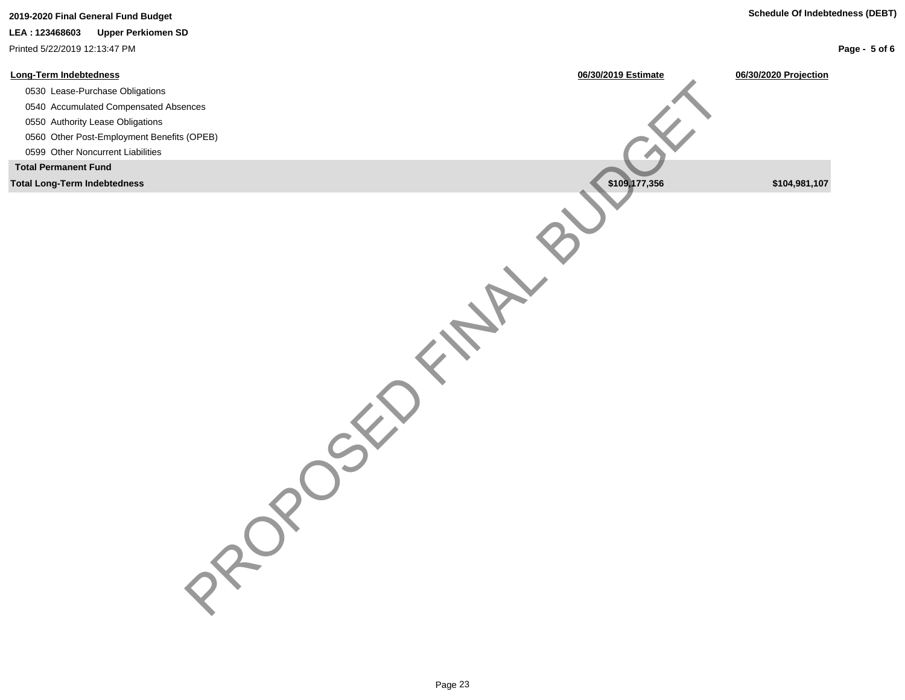### **LEA : 123468603 Upper Perkiomen SD**

Printed 5/22/2019 12:13:47 PM

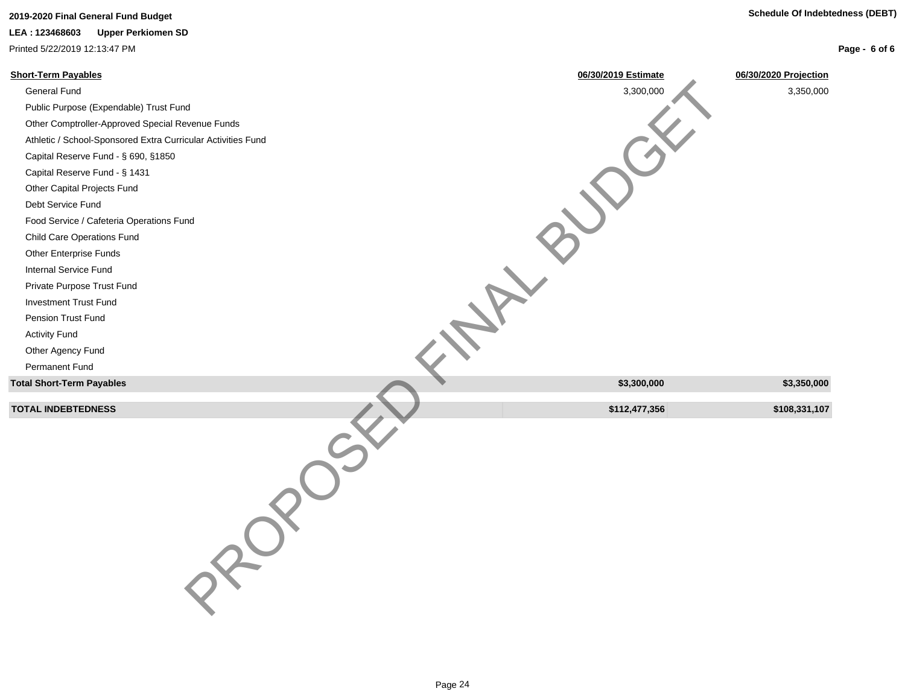# **2019-2020 Final General Fund Budget Schedule Of Indebtedness (DEBT)**

**LEA : 123468603 Upper Perkiomen SD**

Printed 5/22/2019 12:13:47 PM

| 06/30/2019 Estimate | 06/30/2020 Projection |
|---------------------|-----------------------|
| 3,300,000           | 3,350,000             |
|                     |                       |
|                     |                       |
|                     |                       |
|                     |                       |
|                     |                       |
|                     |                       |
|                     |                       |
|                     |                       |
|                     |                       |
|                     |                       |
|                     |                       |
|                     |                       |
|                     |                       |
|                     |                       |
|                     |                       |
|                     |                       |
|                     |                       |
| \$3,300,000         | \$3,350,000           |
|                     | \$108,331,107         |
|                     |                       |
|                     | \$112,477,356         |